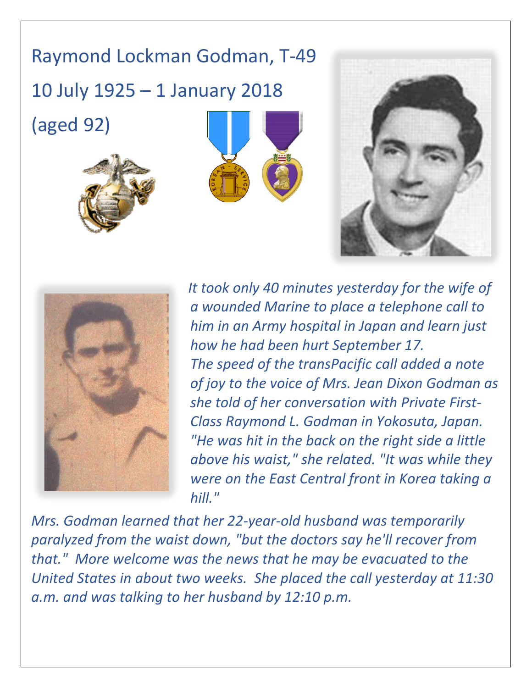## Raymond Lockman Godman, T-49

10 July 1925 – 1 January 2018

(aged 92)









*It took only 40 minutes yesterday for the wife of a wounded Marine to place a telephone call to him in an Army hospital in Japan and learn just how he had been hurt September 17. The speed of the transPacific call added a note of joy to the voice of Mrs. Jean Dixon Godman as she told of her conversation with Private First-Class Raymond L. Godman in Yokosuta, Japan. "He was hit in the back on the right side a little above his waist," she related. "It was while they were on the East Central front in Korea taking a hill."*

*Mrs. Godman learned that her 22-year-old husband was temporarily paralyzed from the waist down, "but the doctors say he'll recover from that." More welcome was the news that he may be evacuated to the United States in about two weeks. She placed the call yesterday at 11:30 a.m. and was talking to her husband by 12:10 p.m.*